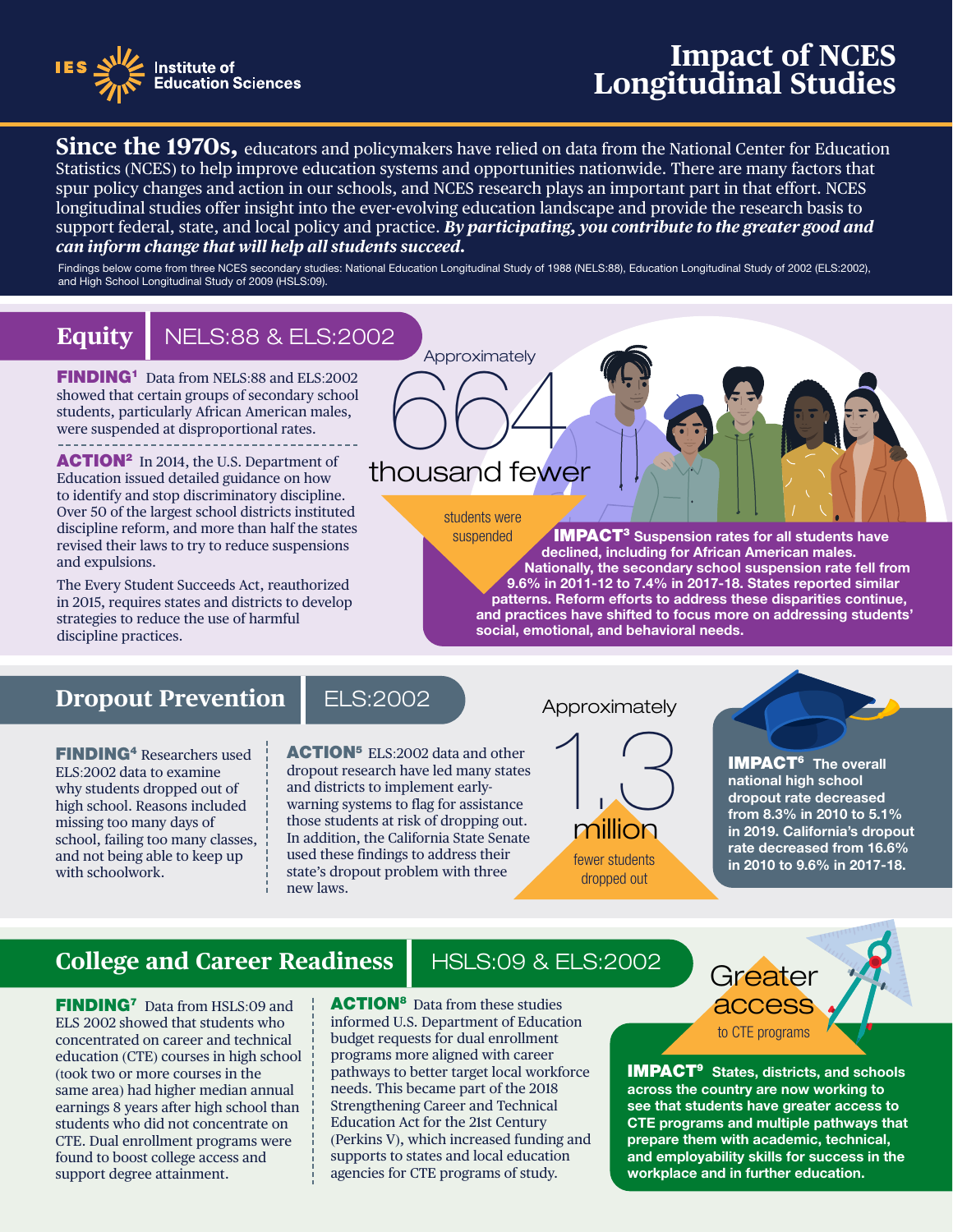

## **Impact of NCES Longitudinal Studies**

**IMPACT<sup>3</sup>** Suspension rates for all students have declined, including for African American males. Nationally, the secondary school suspension rate fell from 9.6% in 2011‑12 to 7.4% in 2017‑18. States reported similar patterns. Reform efforts to address these disparities continue, and practices have shifted to focus more on addressing students'

- longitudinal studies offer insight into the ever evolving education landscape and provide the research basis to **Since the 1970s,** educators and policymakers have relied on data from the National Center for Education Statistics (NCES) to help improve education systems and opportunities nationwide. There are many factors that spur policy changes and action in our schools, and NCES research plays an important part in that effort. NCES support federal, state, and local policy and practice. *By participating, you contribute to the greater good and can inform change that will help all students succeed.* 

Findings below come from three NCES secondary studies: National Education Longitudinal Study of 1988 (NELS:88), Education Longitudinal Study of 2002 (ELS:2002), and High School Longitudinal Study of 2009 (HSLS:09).

**6644** 

**Approximately** 

thousand fewer

students were suspended

### **Equity** NELS:88 & ELS:2002

FINDING<sup>1</sup> Data from NELS:88 and ELS:2002 showed that certain groups of secondary school students, particularly African American males, were suspended at disproportional rates.

**ACTION<sup>2</sup>** In 2014, the U.S. Department of Education issued detailed guidance on how to identify and stop discriminatory discipline. Over 50 of the largest school districts instituted discipline reform, and more than half the states revised their laws to try to reduce suspensions and expulsions.

The Every Student Succeeds Act, reauthorized in 2015, requires states and districts to develop strategies to reduce the use of harmful discipline practices.

### **Dropout Prevention | ELS:2002**

FINDING4 Researchers used ELS:2002 data to examine why students dropped out of high school. Reasons included missing too many days of school, failing too many classes, and not being able to keep up with schoolwork.

ACTION<sup>5</sup> ELS:2002 data and other dropout research have led many states and districts to implement earlywarning systems to flag for assistance those students at risk of dropping out. In addition, the California State Senate used these findings to address their state's dropout problem with three new laws.

#### Approximately

social, emotional, and behavioral needs.



**IMPACT<sup>6</sup>** The overall ‑ in 2010 to 9.6% in 2017 18. national high school dropout rate decreased from 8.3% in 2010 to 5.1% in 2019. California's dropout rate decreased from 16.6%

## **College and Career Readiness** | HSLS:09 & ELS:2002 Greater

**FINDING<sup>7</sup>** Data from HSLS:09 and ELS 2002 showed that students who concentrated on career and technical education (CTE) courses in high school (took two or more courses in the same area) had higher median annual earnings 8 years after high school than students who did not concentrate on CTE. Dual enrollment programs were found to boost college access and support degree attainment.

**ACTION<sup>8</sup>** Data from these studies informed U.S. Department of Education budget requests for dual enrollment programs more aligned with career pathways to better target local workforce needs. This became part of the 2018 Strengthening Career and Technical Education Act for the 21st Century (Perkins V), which increased funding and supports to states and local education agencies for CTE programs of study.



**IMPACT<sup>9</sup>** States, districts, and schools across the country are now working to see that students have greater access to CTE programs and multiple pathways that prepare them with academic, technical, and employability skills for success in the workplace and in further education.